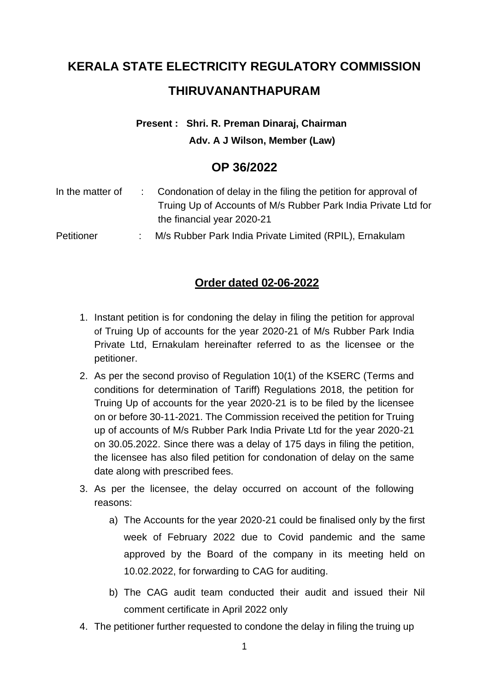# **KERALA STATE ELECTRICITY REGULATORY COMMISSION THIRUVANANTHAPURAM**

### **Present : Shri. R. Preman Dinaraj, Chairman Adv. A J Wilson, Member (Law)**

## **OP 36/2022**

| In the matter of  | Condonation of delay in the filing the petition for approval of<br>Truing Up of Accounts of M/s Rubber Park India Private Ltd for |
|-------------------|-----------------------------------------------------------------------------------------------------------------------------------|
|                   | the financial year 2020-21                                                                                                        |
| <b>Petitioner</b> | M/s Rubber Park India Private Limited (RPIL), Ernakulam                                                                           |

#### **Order dated 02-06-2022**

- 1. Instant petition is for condoning the delay in filing the petition for approval of Truing Up of accounts for the year 2020-21 of M/s Rubber Park India Private Ltd, Ernakulam hereinafter referred to as the licensee or the petitioner.
- 2. As per the second proviso of Regulation 10(1) of the KSERC (Terms and conditions for determination of Tariff) Regulations 2018, the petition for Truing Up of accounts for the year 2020-21 is to be filed by the licensee on or before 30-11-2021. The Commission received the petition for Truing up of accounts of M/s Rubber Park India Private Ltd for the year 2020-21 on 30.05.2022. Since there was a delay of 175 days in filing the petition, the licensee has also filed petition for condonation of delay on the same date along with prescribed fees.
- 3. As per the licensee, the delay occurred on account of the following reasons:
	- a) The Accounts for the year 2020-21 could be finalised only by the first week of February 2022 due to Covid pandemic and the same approved by the Board of the company in its meeting held on 10.02.2022, for forwarding to CAG for auditing.
	- b) The CAG audit team conducted their audit and issued their Nil comment certificate in April 2022 only
- 4. The petitioner further requested to condone the delay in filing the truing up